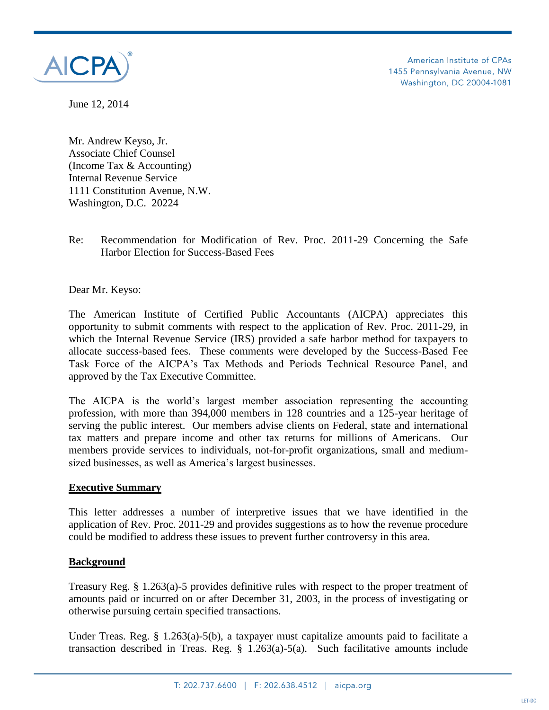

American Institute of CPAs 1455 Pennsylvania Avenue, NW Washington, DC 20004-1081

June 12, 2014

Mr. Andrew Keyso, Jr. Associate Chief Counsel (Income Tax & Accounting) Internal Revenue Service 1111 Constitution Avenue, N.W. Washington, D.C. 20224

Re: Recommendation for Modification of Rev. Proc. 2011-29 Concerning the Safe Harbor Election for Success-Based Fees

Dear Mr. Keyso:

The American Institute of Certified Public Accountants (AICPA) appreciates this opportunity to submit comments with respect to the application of Rev. Proc. 2011-29, in which the Internal Revenue Service (IRS) provided a safe harbor method for taxpayers to allocate success-based fees. These comments were developed by the Success-Based Fee Task Force of the AICPA's Tax Methods and Periods Technical Resource Panel, and approved by the Tax Executive Committee.

The AICPA is the world's largest member association representing the accounting profession, with more than 394,000 members in 128 countries and a 125-year heritage of serving the public interest. Our members advise clients on Federal, state and international tax matters and prepare income and other tax returns for millions of Americans. Our members provide services to individuals, not-for-profit organizations, small and mediumsized businesses, as well as America's largest businesses.

#### **Executive Summary**

This letter addresses a number of interpretive issues that we have identified in the application of Rev. Proc. 2011-29 and provides suggestions as to how the revenue procedure could be modified to address these issues to prevent further controversy in this area.

#### **Background**

Treasury Reg. § 1.263(a)-5 provides definitive rules with respect to the proper treatment of amounts paid or incurred on or after December 31, 2003, in the process of investigating or otherwise pursuing certain specified transactions.

Under Treas. Reg. § 1.263(a)-5(b), a taxpayer must capitalize amounts paid to facilitate a transaction described in Treas. Reg. § 1.263(a)-5(a). Such facilitative amounts include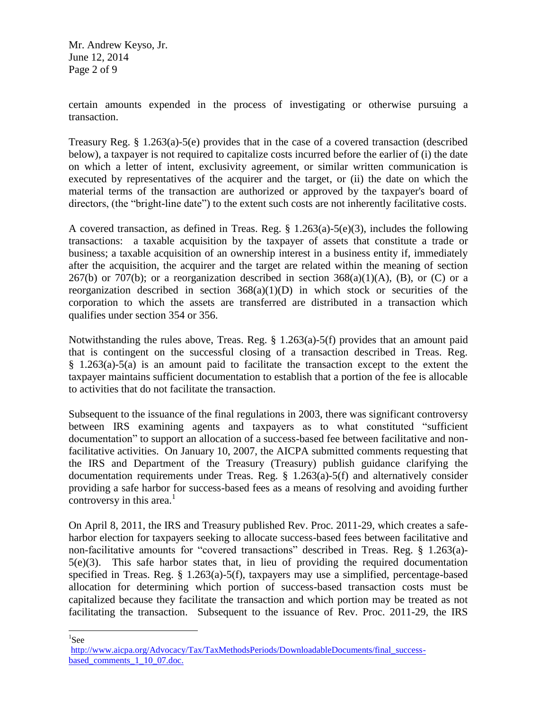Mr. Andrew Keyso, Jr. June 12, 2014 Page 2 of 9

certain amounts expended in the process of investigating or otherwise pursuing a transaction.

Treasury Reg. § 1.263(a)-5(e) provides that in the case of a covered transaction (described below), a taxpayer is not required to capitalize costs incurred before the earlier of (i) the date on which a letter of intent, exclusivity agreement, or similar written communication is executed by representatives of the acquirer and the target, or (ii) the date on which the material terms of the transaction are authorized or approved by the taxpayer's board of directors, (the "bright-line date") to the extent such costs are not inherently facilitative costs.

A covered transaction, as defined in Treas. Reg. § 1.263(a)-5(e)(3), includes the following transactions: a taxable acquisition by the taxpayer of assets that constitute a trade or business; a taxable acquisition of an ownership interest in a business entity if, immediately after the acquisition, the acquirer and the target are related within the meaning of section 267(b) or 707(b); or a reorganization described in section  $368(a)(1)(A)$ , (B), or (C) or a reorganization described in section  $368(a)(1)(D)$  in which stock or securities of the corporation to which the assets are transferred are distributed in a transaction which qualifies under section 354 or 356.

Notwithstanding the rules above, Treas. Reg. § 1.263(a)-5(f) provides that an amount paid that is contingent on the successful closing of a transaction described in Treas. Reg. § 1.263(a)-5(a) is an amount paid to facilitate the transaction except to the extent the taxpayer maintains sufficient documentation to establish that a portion of the fee is allocable to activities that do not facilitate the transaction.

Subsequent to the issuance of the final regulations in 2003, there was significant controversy between IRS examining agents and taxpayers as to what constituted "sufficient documentation" to support an allocation of a success-based fee between facilitative and nonfacilitative activities. On January 10, 2007, the AICPA submitted comments requesting that the IRS and Department of the Treasury (Treasury) publish guidance clarifying the documentation requirements under Treas. Reg. § 1.263(a)-5(f) and alternatively consider providing a safe harbor for success-based fees as a means of resolving and avoiding further controversy in this area. $<sup>1</sup>$ </sup>

On April 8, 2011, the IRS and Treasury published Rev. Proc. 2011-29, which creates a safeharbor election for taxpayers seeking to allocate success-based fees between facilitative and non-facilitative amounts for "covered transactions" described in Treas. Reg. § 1.263(a)- 5(e)(3). This safe harbor states that, in lieu of providing the required documentation specified in Treas. Reg. § 1.263(a)-5(f), taxpayers may use a simplified, percentage-based allocation for determining which portion of success-based transaction costs must be capitalized because they facilitate the transaction and which portion may be treated as not facilitating the transaction. Subsequent to the issuance of Rev. Proc. 2011-29, the IRS

<sup>1</sup>See

[http://www.aicpa.org/Advocacy/Tax/TaxMethodsPeriods/DownloadableDocuments/final\\_success](http://www.aicpa.org/Advocacy/Tax/TaxMethodsPeriods/DownloadableDocuments/final_success-based_comments_1_10_07.doc)[based\\_comments\\_1\\_10\\_07.doc.](http://www.aicpa.org/Advocacy/Tax/TaxMethodsPeriods/DownloadableDocuments/final_success-based_comments_1_10_07.doc)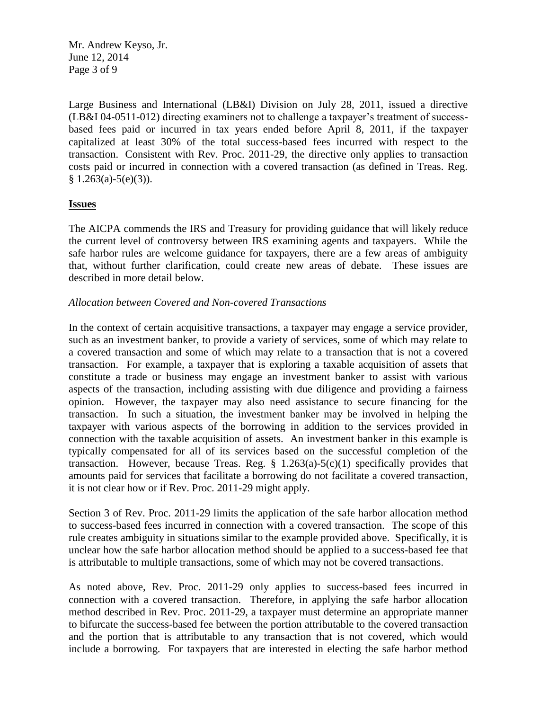Mr. Andrew Keyso, Jr. June 12, 2014 Page 3 of 9

Large Business and International (LB&I) Division on July 28, 2011, issued a directive (LB&I 04-0511-012) directing examiners not to challenge a taxpayer's treatment of successbased fees paid or incurred in tax years ended before April 8, 2011, if the taxpayer capitalized at least 30% of the total success-based fees incurred with respect to the transaction. Consistent with Rev. Proc. 2011-29, the directive only applies to transaction costs paid or incurred in connection with a covered transaction (as defined in Treas. Reg.  $§ 1.263(a)-5(e)(3)).$ 

### **Issues**

The AICPA commends the IRS and Treasury for providing guidance that will likely reduce the current level of controversy between IRS examining agents and taxpayers. While the safe harbor rules are welcome guidance for taxpayers, there are a few areas of ambiguity that, without further clarification, could create new areas of debate. These issues are described in more detail below.

# *Allocation between Covered and Non-covered Transactions*

In the context of certain acquisitive transactions, a taxpayer may engage a service provider, such as an investment banker, to provide a variety of services, some of which may relate to a covered transaction and some of which may relate to a transaction that is not a covered transaction. For example, a taxpayer that is exploring a taxable acquisition of assets that constitute a trade or business may engage an investment banker to assist with various aspects of the transaction, including assisting with due diligence and providing a fairness opinion. However, the taxpayer may also need assistance to secure financing for the transaction. In such a situation, the investment banker may be involved in helping the taxpayer with various aspects of the borrowing in addition to the services provided in connection with the taxable acquisition of assets. An investment banker in this example is typically compensated for all of its services based on the successful completion of the transaction. However, because Treas. Reg.  $\S$  1.263(a)-5(c)(1) specifically provides that amounts paid for services that facilitate a borrowing do not facilitate a covered transaction, it is not clear how or if Rev. Proc. 2011-29 might apply.

Section 3 of Rev. Proc. 2011-29 limits the application of the safe harbor allocation method to success-based fees incurred in connection with a covered transaction. The scope of this rule creates ambiguity in situations similar to the example provided above. Specifically, it is unclear how the safe harbor allocation method should be applied to a success-based fee that is attributable to multiple transactions, some of which may not be covered transactions.

As noted above, Rev. Proc. 2011-29 only applies to success-based fees incurred in connection with a covered transaction. Therefore, in applying the safe harbor allocation method described in Rev. Proc. 2011-29, a taxpayer must determine an appropriate manner to bifurcate the success-based fee between the portion attributable to the covered transaction and the portion that is attributable to any transaction that is not covered, which would include a borrowing. For taxpayers that are interested in electing the safe harbor method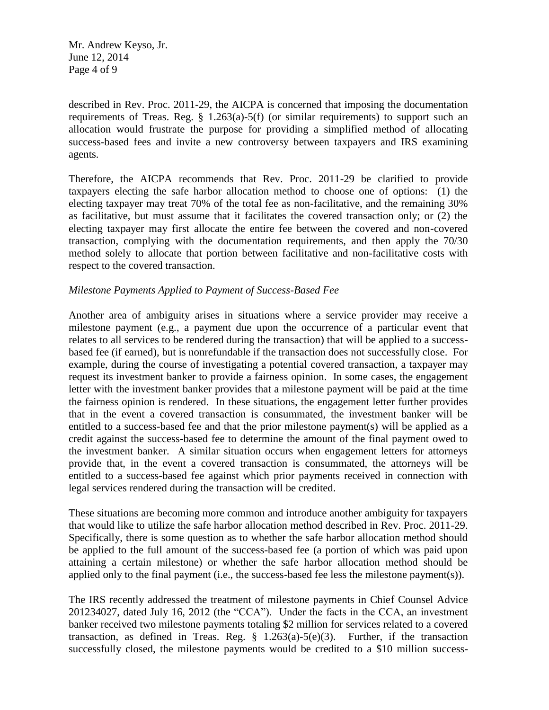Mr. Andrew Keyso, Jr. June 12, 2014 Page 4 of 9

described in Rev. Proc. 2011-29, the AICPA is concerned that imposing the documentation requirements of Treas. Reg.  $\S$  1.263(a)-5(f) (or similar requirements) to support such an allocation would frustrate the purpose for providing a simplified method of allocating success-based fees and invite a new controversy between taxpayers and IRS examining agents.

Therefore, the AICPA recommends that Rev. Proc. 2011-29 be clarified to provide taxpayers electing the safe harbor allocation method to choose one of options: (1) the electing taxpayer may treat 70% of the total fee as non-facilitative, and the remaining 30% as facilitative, but must assume that it facilitates the covered transaction only; or (2) the electing taxpayer may first allocate the entire fee between the covered and non-covered transaction, complying with the documentation requirements, and then apply the 70/30 method solely to allocate that portion between facilitative and non-facilitative costs with respect to the covered transaction.

### *Milestone Payments Applied to Payment of Success-Based Fee*

Another area of ambiguity arises in situations where a service provider may receive a milestone payment (e.g., a payment due upon the occurrence of a particular event that relates to all services to be rendered during the transaction) that will be applied to a successbased fee (if earned), but is nonrefundable if the transaction does not successfully close. For example, during the course of investigating a potential covered transaction, a taxpayer may request its investment banker to provide a fairness opinion. In some cases, the engagement letter with the investment banker provides that a milestone payment will be paid at the time the fairness opinion is rendered. In these situations, the engagement letter further provides that in the event a covered transaction is consummated, the investment banker will be entitled to a success-based fee and that the prior milestone payment(s) will be applied as a credit against the success-based fee to determine the amount of the final payment owed to the investment banker. A similar situation occurs when engagement letters for attorneys provide that, in the event a covered transaction is consummated, the attorneys will be entitled to a success-based fee against which prior payments received in connection with legal services rendered during the transaction will be credited.

These situations are becoming more common and introduce another ambiguity for taxpayers that would like to utilize the safe harbor allocation method described in Rev. Proc. 2011-29. Specifically, there is some question as to whether the safe harbor allocation method should be applied to the full amount of the success-based fee (a portion of which was paid upon attaining a certain milestone) or whether the safe harbor allocation method should be applied only to the final payment (i.e., the success-based fee less the milestone payment(s)).

The IRS recently addressed the treatment of milestone payments in Chief Counsel Advice 201234027, dated July 16, 2012 (the "CCA"). Under the facts in the CCA, an investment banker received two milestone payments totaling \$2 million for services related to a covered transaction, as defined in Treas. Reg.  $\S$  1.263(a)-5(e)(3). Further, if the transaction successfully closed, the milestone payments would be credited to a \$10 million success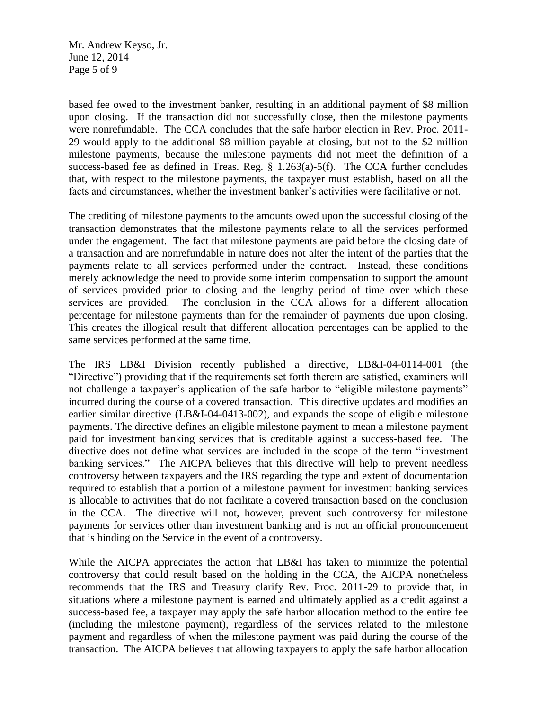Mr. Andrew Keyso, Jr. June 12, 2014 Page 5 of 9

based fee owed to the investment banker, resulting in an additional payment of \$8 million upon closing. If the transaction did not successfully close, then the milestone payments were nonrefundable. The CCA concludes that the safe harbor election in Rev. Proc. 2011- 29 would apply to the additional \$8 million payable at closing, but not to the \$2 million milestone payments, because the milestone payments did not meet the definition of a success-based fee as defined in Treas. Reg. § 1.263(a)-5(f). The CCA further concludes that, with respect to the milestone payments, the taxpayer must establish, based on all the facts and circumstances, whether the investment banker's activities were facilitative or not.

The crediting of milestone payments to the amounts owed upon the successful closing of the transaction demonstrates that the milestone payments relate to all the services performed under the engagement. The fact that milestone payments are paid before the closing date of a transaction and are nonrefundable in nature does not alter the intent of the parties that the payments relate to all services performed under the contract. Instead, these conditions merely acknowledge the need to provide some interim compensation to support the amount of services provided prior to closing and the lengthy period of time over which these services are provided. The conclusion in the CCA allows for a different allocation percentage for milestone payments than for the remainder of payments due upon closing. This creates the illogical result that different allocation percentages can be applied to the same services performed at the same time.

The IRS LB&I Division recently published a directive, LB&I-04-0114-001 (the "Directive") providing that if the requirements set forth therein are satisfied, examiners will not challenge a taxpayer's application of the safe harbor to "eligible milestone payments" incurred during the course of a covered transaction. This directive updates and modifies an earlier similar directive (LB&I-04-0413-002), and expands the scope of eligible milestone payments. The directive defines an eligible milestone payment to mean a milestone payment paid for investment banking services that is creditable against a success-based fee. The directive does not define what services are included in the scope of the term "investment banking services." The AICPA believes that this directive will help to prevent needless controversy between taxpayers and the IRS regarding the type and extent of documentation required to establish that a portion of a milestone payment for investment banking services is allocable to activities that do not facilitate a covered transaction based on the conclusion in the CCA. The directive will not, however, prevent such controversy for milestone payments for services other than investment banking and is not an official pronouncement that is binding on the Service in the event of a controversy.

While the AICPA appreciates the action that LB&I has taken to minimize the potential controversy that could result based on the holding in the CCA, the AICPA nonetheless recommends that the IRS and Treasury clarify Rev. Proc. 2011-29 to provide that, in situations where a milestone payment is earned and ultimately applied as a credit against a success-based fee, a taxpayer may apply the safe harbor allocation method to the entire fee (including the milestone payment), regardless of the services related to the milestone payment and regardless of when the milestone payment was paid during the course of the transaction. The AICPA believes that allowing taxpayers to apply the safe harbor allocation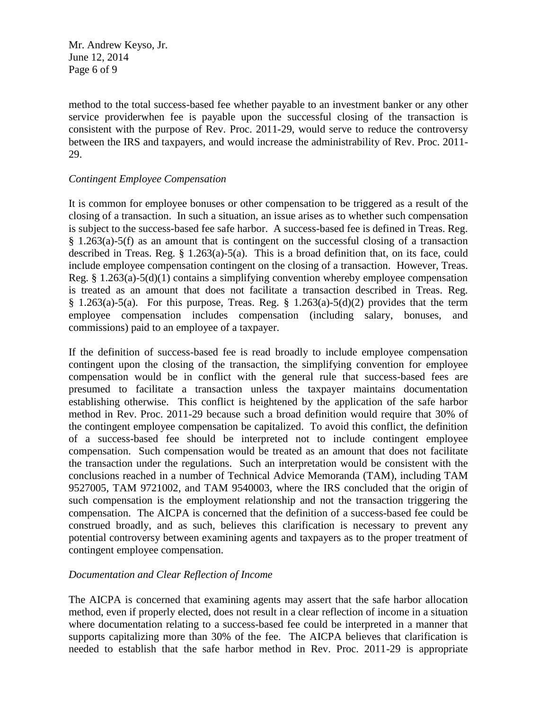Mr. Andrew Keyso, Jr. June 12, 2014 Page 6 of 9

method to the total success-based fee whether payable to an investment banker or any other service providerwhen fee is payable upon the successful closing of the transaction is consistent with the purpose of Rev. Proc. 2011-29, would serve to reduce the controversy between the IRS and taxpayers, and would increase the administrability of Rev. Proc. 2011- 29.

### *Contingent Employee Compensation*

It is common for employee bonuses or other compensation to be triggered as a result of the closing of a transaction. In such a situation, an issue arises as to whether such compensation is subject to the success-based fee safe harbor. A success-based fee is defined in Treas. Reg. § 1.263(a)-5(f) as an amount that is contingent on the successful closing of a transaction described in Treas. Reg. § 1.263(a)-5(a). This is a broad definition that, on its face, could include employee compensation contingent on the closing of a transaction. However, Treas. Reg. § 1.263(a)-5(d)(1) contains a simplifying convention whereby employee compensation is treated as an amount that does not facilitate a transaction described in Treas. Reg. § 1.263(a)-5(a). For this purpose, Treas. Reg. § 1.263(a)-5(d)(2) provides that the term employee compensation includes compensation (including salary, bonuses, and commissions) paid to an employee of a taxpayer.

If the definition of success-based fee is read broadly to include employee compensation contingent upon the closing of the transaction, the simplifying convention for employee compensation would be in conflict with the general rule that success-based fees are presumed to facilitate a transaction unless the taxpayer maintains documentation establishing otherwise. This conflict is heightened by the application of the safe harbor method in Rev. Proc. 2011-29 because such a broad definition would require that 30% of the contingent employee compensation be capitalized. To avoid this conflict, the definition of a success-based fee should be interpreted not to include contingent employee compensation. Such compensation would be treated as an amount that does not facilitate the transaction under the regulations. Such an interpretation would be consistent with the conclusions reached in a number of Technical Advice Memoranda (TAM), including TAM 9527005, TAM 9721002, and TAM 9540003, where the IRS concluded that the origin of such compensation is the employment relationship and not the transaction triggering the compensation. The AICPA is concerned that the definition of a success-based fee could be construed broadly, and as such, believes this clarification is necessary to prevent any potential controversy between examining agents and taxpayers as to the proper treatment of contingent employee compensation.

# *Documentation and Clear Reflection of Income*

The AICPA is concerned that examining agents may assert that the safe harbor allocation method, even if properly elected, does not result in a clear reflection of income in a situation where documentation relating to a success-based fee could be interpreted in a manner that supports capitalizing more than 30% of the fee. The AICPA believes that clarification is needed to establish that the safe harbor method in Rev. Proc. 2011-29 is appropriate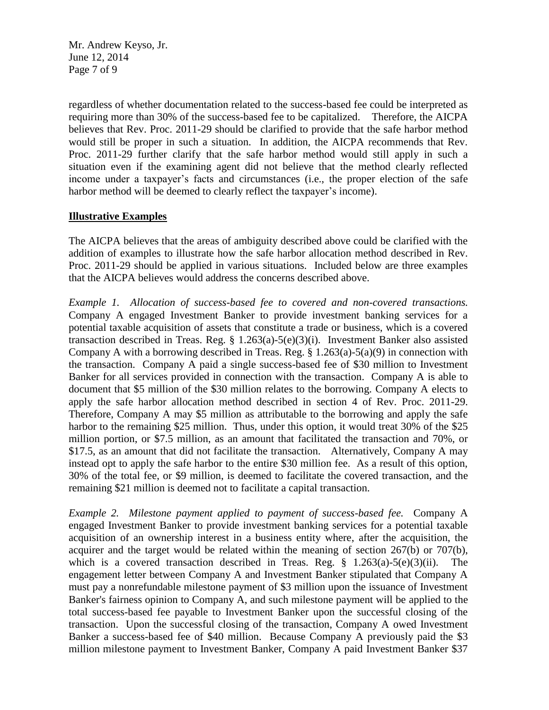Mr. Andrew Keyso, Jr. June 12, 2014 Page 7 of 9

regardless of whether documentation related to the success-based fee could be interpreted as requiring more than 30% of the success-based fee to be capitalized. Therefore, the AICPA believes that Rev. Proc. 2011-29 should be clarified to provide that the safe harbor method would still be proper in such a situation. In addition, the AICPA recommends that Rev. Proc. 2011-29 further clarify that the safe harbor method would still apply in such a situation even if the examining agent did not believe that the method clearly reflected income under a taxpayer's facts and circumstances (i.e., the proper election of the safe harbor method will be deemed to clearly reflect the taxpayer's income).

## **Illustrative Examples**

The AICPA believes that the areas of ambiguity described above could be clarified with the addition of examples to illustrate how the safe harbor allocation method described in Rev. Proc. 2011-29 should be applied in various situations. Included below are three examples that the AICPA believes would address the concerns described above.

*Example 1. Allocation of success-based fee to covered and non-covered transactions.* Company A engaged Investment Banker to provide investment banking services for a potential taxable acquisition of assets that constitute a trade or business, which is a covered transaction described in Treas. Reg. § 1.263(a)-5(e)(3)(i). Investment Banker also assisted Company A with a borrowing described in Treas. Reg.  $\S 1.263(a) - 5(a)(9)$  in connection with the transaction. Company A paid a single success-based fee of \$30 million to Investment Banker for all services provided in connection with the transaction. Company A is able to document that \$5 million of the \$30 million relates to the borrowing. Company A elects to apply the safe harbor allocation method described in section 4 of Rev. Proc. 2011-29. Therefore, Company A may \$5 million as attributable to the borrowing and apply the safe harbor to the remaining \$25 million. Thus, under this option, it would treat 30% of the \$25 million portion, or \$7.5 million, as an amount that facilitated the transaction and 70%, or \$17.5, as an amount that did not facilitate the transaction. Alternatively, Company A may instead opt to apply the safe harbor to the entire \$30 million fee. As a result of this option, 30% of the total fee, or \$9 million, is deemed to facilitate the covered transaction, and the remaining \$21 million is deemed not to facilitate a capital transaction.

*Example 2. Milestone payment applied to payment of success-based fee.* Company A engaged Investment Banker to provide investment banking services for a potential taxable acquisition of an ownership interest in a business entity where, after the acquisition, the acquirer and the target would be related within the meaning of section 267(b) or 707(b), which is a covered transaction described in Treas. Reg.  $\S$  1.263(a)-5(e)(3)(ii). The engagement letter between Company A and Investment Banker stipulated that Company A must pay a nonrefundable milestone payment of \$3 million upon the issuance of Investment Banker's fairness opinion to Company A, and such milestone payment will be applied to the total success-based fee payable to Investment Banker upon the successful closing of the transaction. Upon the successful closing of the transaction, Company A owed Investment Banker a success-based fee of \$40 million. Because Company A previously paid the \$3 million milestone payment to Investment Banker, Company A paid Investment Banker \$37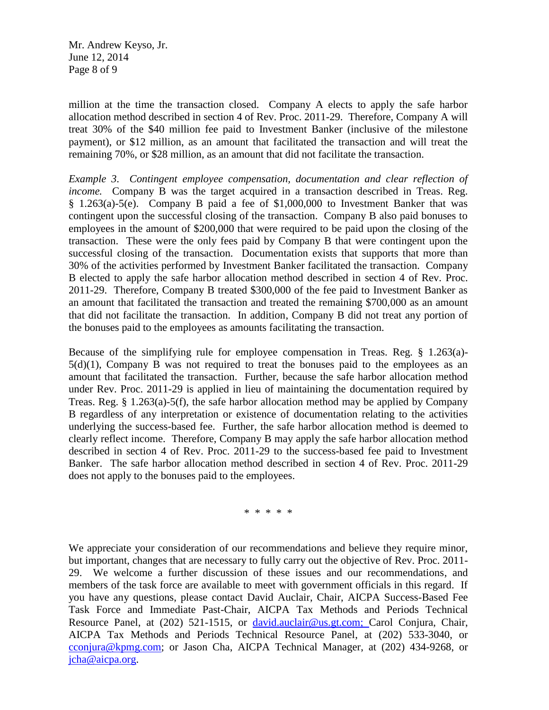Mr. Andrew Keyso, Jr. June 12, 2014 Page 8 of 9

million at the time the transaction closed. Company A elects to apply the safe harbor allocation method described in section 4 of Rev. Proc. 2011-29. Therefore, Company A will treat 30% of the \$40 million fee paid to Investment Banker (inclusive of the milestone payment), or \$12 million, as an amount that facilitated the transaction and will treat the remaining 70%, or \$28 million, as an amount that did not facilitate the transaction.

*Example 3*. *Contingent employee compensation, documentation and clear reflection of income.* Company B was the target acquired in a transaction described in Treas. Reg. § 1.263(a)-5(e). Company B paid a fee of \$1,000,000 to Investment Banker that was contingent upon the successful closing of the transaction. Company B also paid bonuses to employees in the amount of \$200,000 that were required to be paid upon the closing of the transaction. These were the only fees paid by Company B that were contingent upon the successful closing of the transaction. Documentation exists that supports that more than 30% of the activities performed by Investment Banker facilitated the transaction. Company B elected to apply the safe harbor allocation method described in section 4 of Rev. Proc. 2011-29. Therefore, Company B treated \$300,000 of the fee paid to Investment Banker as an amount that facilitated the transaction and treated the remaining \$700,000 as an amount that did not facilitate the transaction. In addition, Company B did not treat any portion of the bonuses paid to the employees as amounts facilitating the transaction.

Because of the simplifying rule for employee compensation in Treas. Reg. § 1.263(a)-  $5(d)(1)$ , Company B was not required to treat the bonuses paid to the employees as an amount that facilitated the transaction. Further, because the safe harbor allocation method under Rev. Proc. 2011-29 is applied in lieu of maintaining the documentation required by Treas. Reg.  $\S$  1.263(a)-5(f), the safe harbor allocation method may be applied by Company B regardless of any interpretation or existence of documentation relating to the activities underlying the success-based fee. Further, the safe harbor allocation method is deemed to clearly reflect income. Therefore, Company B may apply the safe harbor allocation method described in section 4 of Rev. Proc. 2011-29 to the success-based fee paid to Investment Banker. The safe harbor allocation method described in section 4 of Rev. Proc. 2011-29 does not apply to the bonuses paid to the employees.

\* \* \* \* \*

We appreciate your consideration of our recommendations and believe they require minor, but important, changes that are necessary to fully carry out the objective of Rev. Proc. 2011- 29. We welcome a further discussion of these issues and our recommendations, and members of the task force are available to meet with government officials in this regard. If you have any questions, please contact David Auclair, Chair, AICPA Success-Based Fee Task Force and Immediate Past-Chair, AICPA Tax Methods and Periods Technical Resource Panel, at (202) 521-1515, or [david.auclair@us.gt.com;](mailto:david.auclair@us.gt.com) Carol Conjura, Chair, AICPA Tax Methods and Periods Technical Resource Panel, at (202) 533-3040, or [cconjura@kpmg.com;](mailto:cconjura@kpmg.com) or Jason Cha, AICPA Technical Manager, at (202) 434-9268, or [jcha@aicpa.org.](mailto:jcha@aicpa.org)